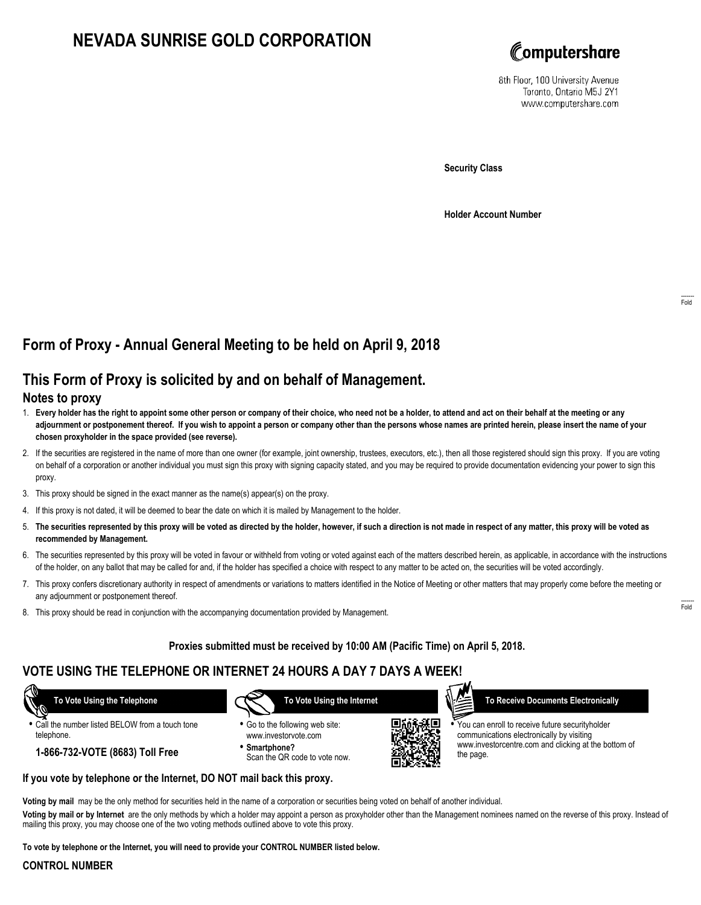# **NEVADA SUNRISE GOLD CORPORATION**



8th Floor, 100 University Avenue Toronto, Ontario M5J 2Y1 www.computershare.com

**Security Class**

**Holder Account Number**

## **Form of Proxy - Annual General Meeting to be held on April 9, 2018**

## **This Form of Proxy is solicited by and on behalf of Management.**

#### **Notes to proxy**

- 1. **Every holder has the right to appoint some other person or company of their choice, who need not be a holder, to attend and act on their behalf at the meeting or any adjournment or postponement thereof. If you wish to appoint a person or company other than the persons whose names are printed herein, please insert the name of your chosen proxyholder in the space provided (see reverse).**
- 2. If the securities are registered in the name of more than one owner (for example, joint ownership, trustees, executors, etc.), then all those registered should sign this proxy. If you are voting on behalf of a corporation or another individual you must sign this proxy with signing capacity stated, and you may be required to provide documentation evidencing your power to sign this proxy.
- 3. This proxy should be signed in the exact manner as the name(s) appear(s) on the proxy.
- 4. If this proxy is not dated, it will be deemed to bear the date on which it is mailed by Management to the holder.
- 5. **The securities represented by this proxy will be voted as directed by the holder, however, if such a direction is not made in respect of any matter, this proxy will be voted as recommended by Management.**
- 6. The securities represented by this proxy will be voted in favour or withheld from voting or voted against each of the matters described herein, as applicable, in accordance with the instructions of the holder, on any ballot that may be called for and, if the holder has specified a choice with respect to any matter to be acted on, the securities will be voted accordingly.
- 7. This proxy confers discretionary authority in respect of amendments or variations to matters identified in the Notice of Meeting or other matters that may properly come before the meeting or any adjournment or postponement thereof.
- 8. This proxy should be read in conjunction with the accompanying documentation provided by Management.

#### **Proxies submitted must be received by 10:00 AM (Pacific Time) on April 5, 2018.**

### **VOTE USING THE TELEPHONE OR INTERNET 24 HOURS A DAY 7 DAYS A WEEK!**

**•** Call the number listed BELOW from a touch tone telephone.

**1-866-732-VOTE (8683) Toll Free**

 **To Vote Using the Telephone**



- **•** Go to the following web site: www.investorvote.com
- **• Smartphone?** Scan the QR code to vote now.



 **To Receive Documents Electronically**

**•** You can enroll to receive future securityholder communications electronically by visiting www.investorcentre.com and clicking at the bottom of the page.

## **If you vote by telephone or the Internet, DO NOT mail back this proxy.**

**Voting by mail** may be the only method for securities held in the name of a corporation or securities being voted on behalf of another individual.

**Voting by mail or by Internet** are the only methods by which a holder may appoint a person as proxyholder other than the Management nominees named on the reverse of this proxy. Instead of mailing this proxy, you may choose one of the two voting methods outlined above to vote this proxy.

**To vote by telephone or the Internet, you will need to provide your CONTROL NUMBER listed below.**

#### **CONTROL NUMBER**